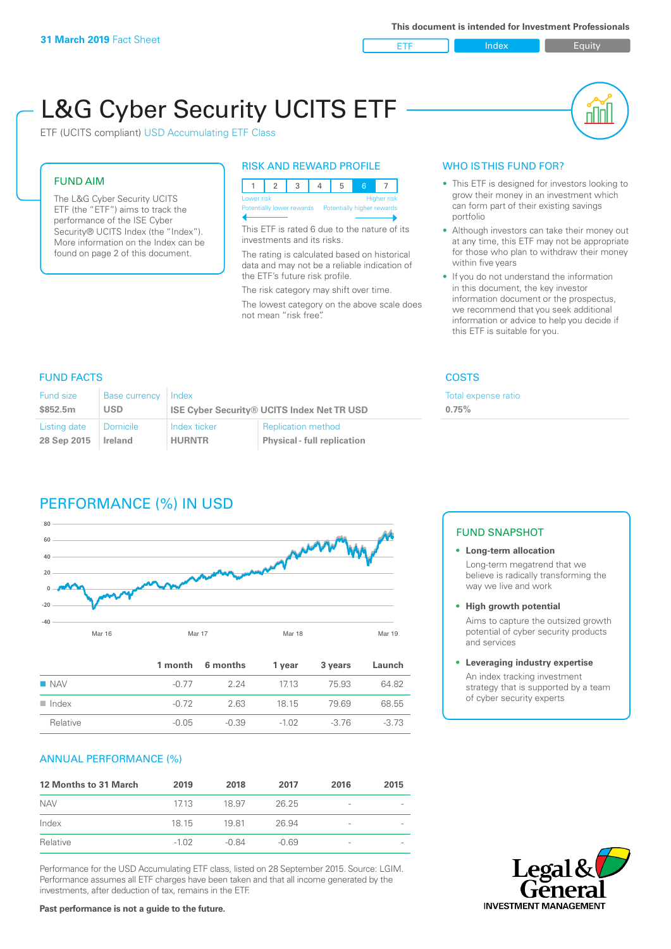ETF Index Buity

nl M

# L&G Cyber Security UCITS ETF

ETF (UCITS compliant) USD Accumulating ETF Class

### FUND AIM

The L&G Cyber Security UCITS ETF (the "ETF") aims to track the performance of the ISE Cyber Security® UCITS Index (the "Index"). More information on the Index can be found on page 2 of this document.

#### RISK AND REWARD PROFILE

|  | Lower risk<br>Higher risk |  |  |  |                                                      |  |  |  |  |
|--|---------------------------|--|--|--|------------------------------------------------------|--|--|--|--|
|  |                           |  |  |  | Potentially lower rewards Potentially higher rewards |  |  |  |  |
|  |                           |  |  |  |                                                      |  |  |  |  |

This ETF is rated 6 due to the nature of its investments and its risks.

The rating is calculated based on historical data and may not be a reliable indication of the ETF's future risk profile.

The risk category may shift over time. The lowest category on the above scale does not mean "risk free".

#### WHO IS THIS FUND FOR?

- This ETF is designed for investors looking to grow their money in an investment which can form part of their existing savings portfolio
- Although investors can take their money out at any time, this ETF may not be appropriate for those who plan to withdraw their money within five years
- If you do not understand the information in this document, the key investor information document or the prospectus, we recommend that you seek additional information or advice to help you decide if this ETF is suitable for you.

**0.75%**

Total expense ratio

### FUND FACTS COSTS

| Fund size<br>\$852.5m | <b>Base currency</b><br>USD | Index         | <b>ISE Cyber Security® UCITS Index Net TR USD</b> |
|-----------------------|-----------------------------|---------------|---------------------------------------------------|
| Listing date          | <b>Domicile</b>             | Index ticker  | <b>Replication method</b>                         |
| 28 Sep 2015           | Ireland                     | <b>HURNTR</b> | <b>Physical - full replication</b>                |

# PERFORMANCE (%) IN USD



|                      |         | 1 month 6 months | 1 year  | 3 years | Launch  |
|----------------------|---------|------------------|---------|---------|---------|
| $\blacksquare$ NAV   | -0.77   | 224              | 1713    | 75.93   | 64.82   |
| $\blacksquare$ Index | -0.72   | 2.63             | 18 15   | 7969    | 68.55   |
| Relative             | $-0.05$ | $-0.39$          | $-1.02$ | -3.76   | $-3.73$ |

#### ANNUAL PERFORMANCE (%)

| <b>12 Months to 31 March</b> | 2019    | 2018    | 2017    | 2016            | 2015 |
|------------------------------|---------|---------|---------|-----------------|------|
| <b>NAV</b>                   | 1713    | 18.97   | 26.25   | -               |      |
| Index                        | 18 15   | 1981    | 26.94   | $\qquad \qquad$ |      |
| Relative                     | $-1.02$ | $-0.84$ | $-0.69$ | -               |      |

Performance for the USD Accumulating ETF class, listed on 28 September 2015. Source: LGIM. Performance assumes all ETF charges have been taken and that all income generated by the investments, after deduction of tax, remains in the ETF.

## FUND SNAPSHOT

**• Long-term allocation** Long-term megatrend that we believe is radically transforming the way we live and work

**• High growth potential**

Aims to capture the outsized growth potential of cyber security products and services

#### **• Leveraging industry expertise**

An index tracking investment strategy that is supported by a team of cyber security experts



**Past performance is not a guide to the future.**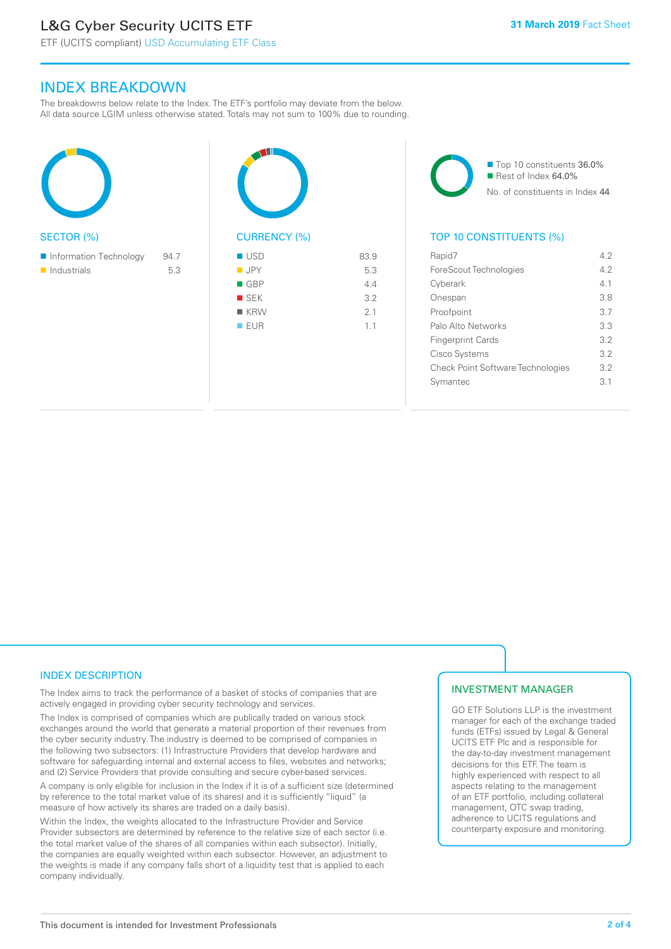# L&G Cyber Security UCITS ETF

#### INDEX BREAKDOWN

The breakdowns below relate to the Index. The ETF's portfolio may deviate from the below. All data source LGIM unless otherwise stated. Totals may not sum to 100% due to rounding.

| <b>SECTOR (%)</b>                                    |             | <b>CURREN</b>                                                                            |
|------------------------------------------------------|-------------|------------------------------------------------------------------------------------------|
| Information Technology<br>$\blacksquare$ Industrials | 94.7<br>5.3 | <b>USD</b><br><b>JPY</b><br>$\blacksquare$ GBP<br><b>SEK</b><br><b>KRW</b><br><b>EUR</b> |

CY (%) 83.9  $\blacksquare$  JPY 5.3  $\blacksquare$  GBP 4.4  $S$  SEK 3.2  $\blacksquare$  KRW 2.1  $\blacksquare$  EUR 1.1

■ Top 10 constituents 36.0% Rest of Index 64.0% No. of constituents in Index 44

#### TOP 10 CONSTITUENTS (%)

| Rapid7                                   | 42  |
|------------------------------------------|-----|
| ForeScout Technologies                   | 42  |
| Cyberark                                 | 41  |
| Onespan                                  | 38  |
| Proofpoint                               | 3.7 |
| Palo Alto Networks                       | 3.3 |
| <b>Fingerprint Cards</b>                 | 32  |
| Cisco Systems                            | 3.2 |
| <b>Check Point Software Technologies</b> | 3.2 |
| Svmantec                                 | 3.1 |
|                                          |     |

#### INDEX DESCRIPTION

The Index aims to track the performance of a basket of stocks of companies that are actively engaged in providing cyber security technology and services.

The Index is comprised of companies which are publically traded on various stock exchanges around the world that generate a material proportion of their revenues from the cyber security industry. The industry is deemed to be comprised of companies in the following two subsectors: (1) Infrastructure Providers that develop hardware and software for safeguarding internal and external access to files, websites and networks; and (2) Service Providers that provide consulting and secure cyber-based services.

A company is only eligible for inclusion in the Index if it is of a sufficient size (determined by reference to the total market value of its shares) and it is sufficiently "liquid" (a measure of how actively its shares are traded on a daily basis).

Within the Index, the weights allocated to the Infrastructure Provider and Service Provider subsectors are determined by reference to the relative size of each sector (i.e. the total market value of the shares of all companies within each subsector). Initially, the companies are equally weighted within each subsector. However, an adjustment to the weights is made if any company falls short of a liquidity test that is applied to each company individually.

#### INVESTMENT MANAGER

GO ETF Solutions LLP is the investment manager for each of the exchange traded funds (ETFs) issued by Legal & General UCITS ETF Plc and is responsible for the day-to-day investment management decisions for this ETF. The team is highly experienced with respect to all aspects relating to the management of an ETF portfolio, including collateral management, OTC swap trading, adherence to UCITS regulations and counterparty exposure and monitoring.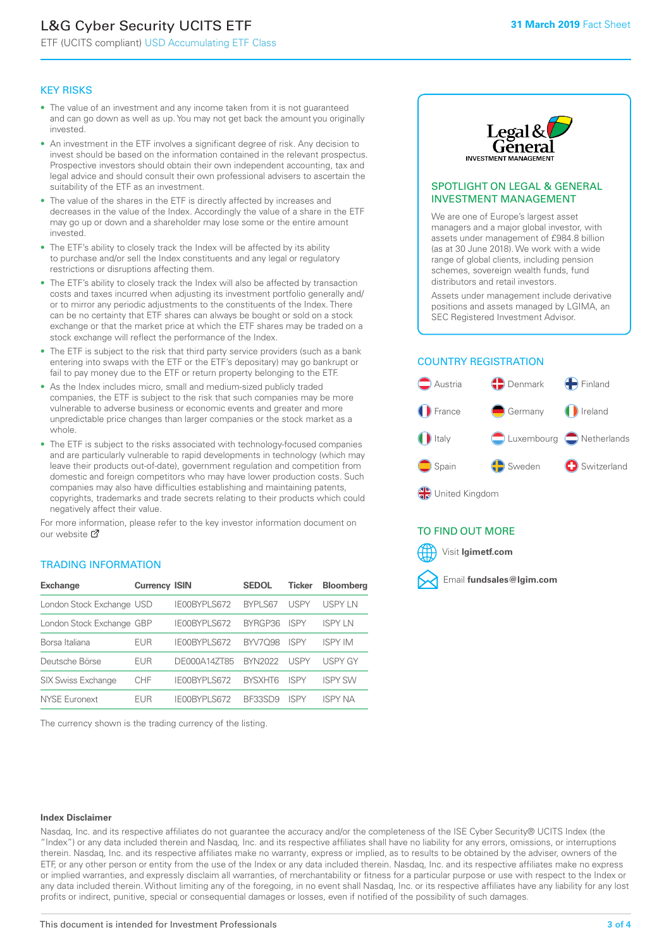# L&G Cyber Security UCITS ETF

ETF (UCITS compliant) USD Accumulating ETF Class

#### KEY RISKS

- The value of an investment and any income taken from it is not guaranteed and can go down as well as up. You may not get back the amount you originally invested.
- An investment in the ETF involves a significant degree of risk. Any decision to invest should be based on the information contained in the relevant prospectus. Prospective investors should obtain their own independent accounting, tax and legal advice and should consult their own professional advisers to ascertain the suitability of the ETF as an investment.
- The value of the shares in the ETF is directly affected by increases and decreases in the value of the Index. Accordingly the value of a share in the ETF may go up or down and a shareholder may lose some or the entire amount invested.
- The ETF's ability to closely track the Index will be affected by its ability to purchase and/or sell the Index constituents and any legal or regulatory restrictions or disruptions affecting them.
- The ETF's ability to closely track the Index will also be affected by transaction costs and taxes incurred when adjusting its investment portfolio generally and/ or to mirror any periodic adjustments to the constituents of the Index. There can be no certainty that ETF shares can always be bought or sold on a stock exchange or that the market price at which the ETF shares may be traded on a stock exchange will reflect the performance of the Index.
- The ETF is subject to the risk that third party service providers (such as a bank entering into swaps with the ETF or the ETF's depositary) may go bankrupt or fail to pay money due to the ETF or return property belonging to the ETF.
- As the Index includes micro, small and medium-sized publicly traded companies, the ETF is subject to the risk that such companies may be more vulnerable to adverse business or economic events and greater and more unpredictable price changes than larger companies or the stock market as a whole.
- The ETF is subject to the risks associated with technology-focused companies and are particularly vulnerable to rapid developments in technology (which may leave their products out-of-date), government regulation and competition from domestic and foreign competitors who may have lower production costs. Such companies may also have difficulties establishing and maintaining patents, copyrights, trademarks and trade secrets relating to their products which could negatively affect their value.

For more information, please refer to the key investor information document on our website Ø

#### TRADING INFORMATION

| <b>Exchange</b>           | <b>Currency ISIN</b> |              | <b>SEDOL</b>   | <b>Ticker</b> | <b>Bloomberg</b> |
|---------------------------|----------------------|--------------|----------------|---------------|------------------|
| London Stock Exchange USD |                      | IE00BYPLS672 | <b>BYPLS67</b> | <b>USPY</b>   | USPY IN          |
| London Stock Exchange GBP |                      | IE00BYPLS672 | BYRGP36        | ISPY          | <b>ISPY IN</b>   |
| Borsa Italiana            | EUR                  | IE00BYPLS672 | <b>BYV7098</b> | <b>ISPY</b>   | <b>ISPY IM</b>   |
| Deutsche Börse            | EUR                  | DE000A14ZT85 | <b>BYN2022</b> | USPY          | <b>USPY GY</b>   |
| <b>SIX Swiss Exchange</b> | CHF                  | IE00BYPLS672 | <b>RYSXHT6</b> | <b>ISPY</b>   | <b>ISPY SW</b>   |
| <b>NYSE Euronext</b>      | <b>FUR</b>           | IE00BYPLS672 | BF33SD9        | ISPY          | <b>ISPY NA</b>   |

The currency shown is the trading currency of the listing.



#### SPOTLIGHT ON LEGAL & GENERAL INVESTMENT MANAGEMENT

We are one of Europe's largest asset managers and a major global investor, with assets under management of £984.8 billion (as at 30 June 2018). We work with a wide range of global clients, including pension schemes, sovereign wealth funds, fund distributors and retail investors.

Assets under management include derivative positions and assets managed by LGIMA, an SEC Registered Investment Advisor.

#### COUNTRY REGISTRATION



TO FIND OUT MORE

Visit **lgimetf.com**



#### **Index Disclaimer**

Nasdaq, Inc. and its respective affiliates do not guarantee the accuracy and/or the completeness of the ISE Cyber Security® UCITS Index (the "Index") or any data included therein and Nasdaq, Inc. and its respective affiliates shall have no liability for any errors, omissions, or interruptions therein. Nasdaq, Inc. and its respective affiliates make no warranty, express or implied, as to results to be obtained by the adviser, owners of the ETF, or any other person or entity from the use of the Index or any data included therein. Nasdaq, Inc. and its respective affiliates make no express or implied warranties, and expressly disclaim all warranties, of merchantability or fitness for a particular purpose or use with respect to the Index or any data included therein. Without limiting any of the foregoing, in no event shall Nasdaq, Inc. or its respective affiliates have any liability for any lost profits or indirect, punitive, special or consequential damages or losses, even if notified of the possibility of such damages.